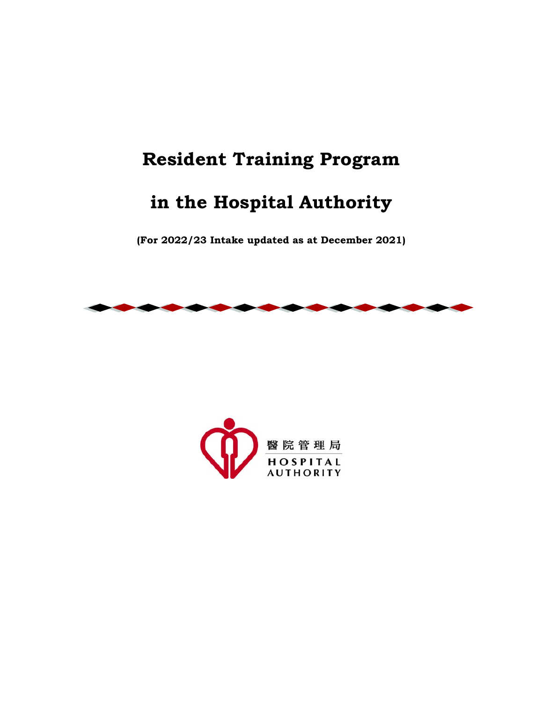# **Resident Training Program**

# **in the Hospital Authority**

**(For 2022/23 Intake updated as at December 2021)**



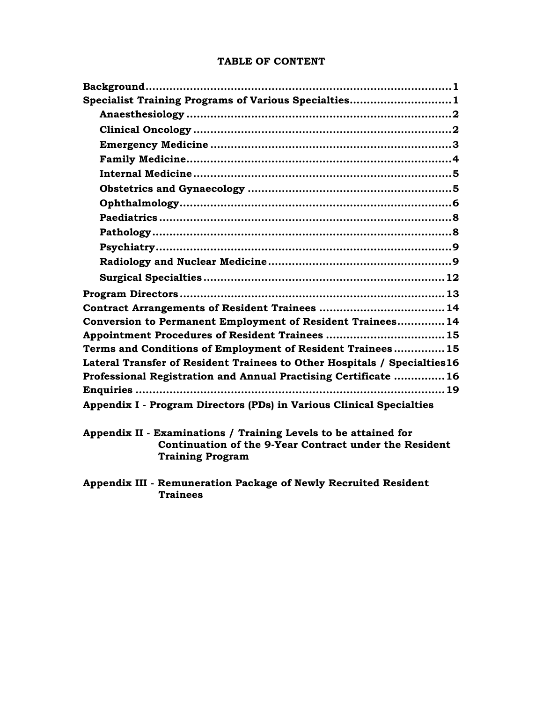| Specialist Training Programs of Various Specialties1                      |  |
|---------------------------------------------------------------------------|--|
|                                                                           |  |
|                                                                           |  |
|                                                                           |  |
|                                                                           |  |
|                                                                           |  |
|                                                                           |  |
|                                                                           |  |
|                                                                           |  |
|                                                                           |  |
|                                                                           |  |
|                                                                           |  |
|                                                                           |  |
|                                                                           |  |
|                                                                           |  |
| Conversion to Permanent Employment of Resident Trainees 14                |  |
| Appointment Procedures of Resident Trainees  15                           |  |
| Terms and Conditions of Employment of Resident Trainees 15                |  |
| Lateral Transfer of Resident Trainees to Other Hospitals / Specialties 16 |  |
| Professional Registration and Annual Practising Certificate  16           |  |
|                                                                           |  |
| Appendix I - Program Directors (PDs) in Various Clinical Specialties      |  |

#### **TABLE OF CONTENT**

**Appendix II - Examinations / Training Levels to be attained for Continuation of the 9-Year Contract under the Resident Training Program** 

**Appendix III - Remuneration Package of Newly Recruited Resident Trainees**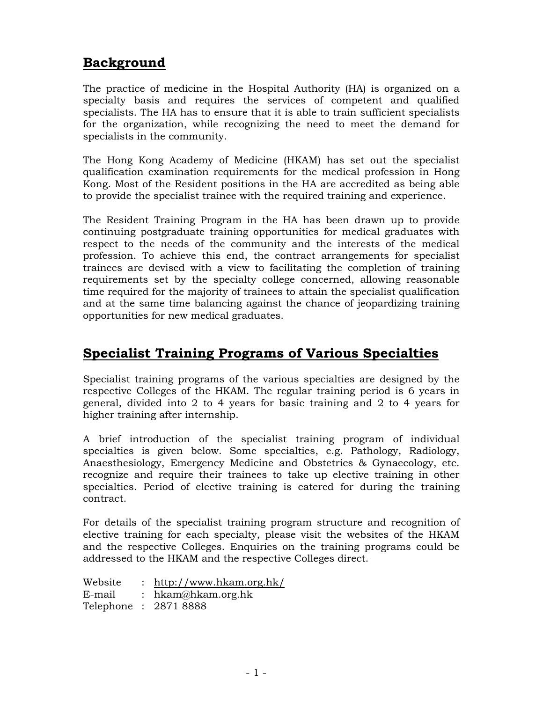### **Background**

The practice of medicine in the Hospital Authority (HA) is organized on a specialty basis and requires the services of competent and qualified specialists. The HA has to ensure that it is able to train sufficient specialists for the organization, while recognizing the need to meet the demand for specialists in the community.

The Hong Kong Academy of Medicine (HKAM) has set out the specialist qualification examination requirements for the medical profession in Hong Kong. Most of the Resident positions in the HA are accredited as being able to provide the specialist trainee with the required training and experience.

The Resident Training Program in the HA has been drawn up to provide continuing postgraduate training opportunities for medical graduates with respect to the needs of the community and the interests of the medical profession. To achieve this end, the contract arrangements for specialist trainees are devised with a view to facilitating the completion of training requirements set by the specialty college concerned, allowing reasonable time required for the majority of trainees to attain the specialist qualification and at the same time balancing against the chance of jeopardizing training opportunities for new medical graduates.

### **Specialist Training Programs of Various Specialties**

Specialist training programs of the various specialties are designed by the respective Colleges of the HKAM. The regular training period is 6 years in general, divided into 2 to 4 years for basic training and 2 to 4 years for higher training after internship.

A brief introduction of the specialist training program of individual specialties is given below. Some specialties, e.g. Pathology, Radiology, Anaesthesiology, Emergency Medicine and Obstetrics & Gynaecology, etc. recognize and require their trainees to take up elective training in other specialties. Period of elective training is catered for during the training contract.

For details of the specialist training program structure and recognition of elective training for each specialty, please visit the websites of the HKAM and the respective Colleges. Enquiries on the training programs could be addressed to the HKAM and the respective Colleges direct.

| Website | : $http://www.hkam.org.hk/$ |
|---------|-----------------------------|
| E-mail  | : $h$ kam@hkam.org.hk       |
|         | Telephone : 2871 8888       |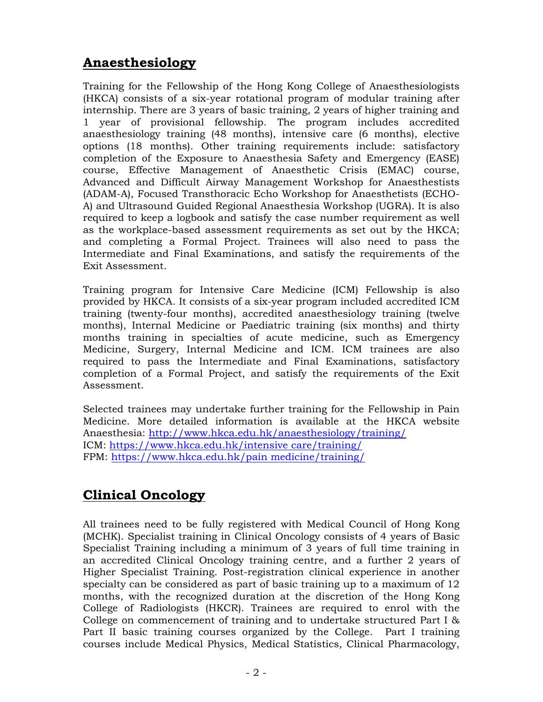## **Anaesthesiology**

Training for the Fellowship of the Hong Kong College of Anaesthesiologists (HKCA) consists of a six-year rotational program of modular training after internship. There are 3 years of basic training, 2 years of higher training and 1 year of provisional fellowship. The program includes accredited anaesthesiology training (48 months), intensive care (6 months), elective options (18 months). Other training requirements include: satisfactory completion of the Exposure to Anaesthesia Safety and Emergency (EASE) course, Effective Management of Anaesthetic Crisis (EMAC) course, Advanced and Difficult Airway Management Workshop for Anaesthestists (ADAM-A), Focused Transthoracic Echo Workshop for Anaesthetists (ECHO-A) and Ultrasound Guided Regional Anaesthesia Workshop (UGRA). It is also required to keep a logbook and satisfy the case number requirement as well as the workplace-based assessment requirements as set out by the HKCA; and completing a Formal Project. Trainees will also need to pass the Intermediate and Final Examinations, and satisfy the requirements of the Exit Assessment.

Training program for Intensive Care Medicine (ICM) Fellowship is also provided by HKCA. It consists of a six-year program included accredited ICM training (twenty-four months), accredited anaesthesiology training (twelve months), Internal Medicine or Paediatric training (six months) and thirty months training in specialties of acute medicine, such as Emergency Medicine, Surgery, Internal Medicine and ICM. ICM trainees are also required to pass the Intermediate and Final Examinations, satisfactory completion of a Formal Project, and satisfy the requirements of the Exit Assessment.

Selected trainees may undertake further training for the Fellowship in Pain Medicine. More detailed information is available at the HKCA website Anaesthesia: http://www.hkca.edu.hk/anaesthesiology/training/ ICM: https://www.hkca.edu.hk/intensive care/training/ FPM: https://www.hkca.edu.hk/pain medicine/training/

# **Clinical Oncology**

All trainees need to be fully registered with Medical Council of Hong Kong (MCHK). Specialist training in Clinical Oncology consists of 4 years of Basic Specialist Training including a minimum of 3 years of full time training in an accredited Clinical Oncology training centre, and a further 2 years of Higher Specialist Training. Post-registration clinical experience in another specialty can be considered as part of basic training up to a maximum of 12 months, with the recognized duration at the discretion of the Hong Kong College of Radiologists (HKCR). Trainees are required to enrol with the College on commencement of training and to undertake structured Part I & Part II basic training courses organized by the College. Part I training courses include Medical Physics, Medical Statistics, Clinical Pharmacology,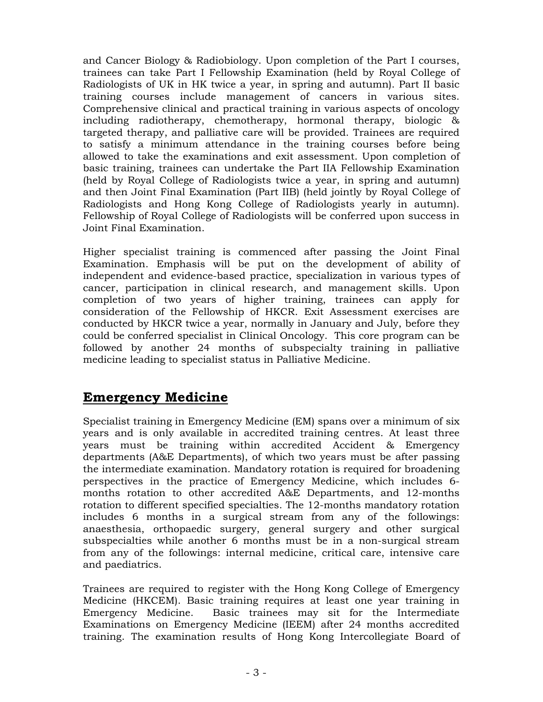and Cancer Biology & Radiobiology. Upon completion of the Part I courses, trainees can take Part I Fellowship Examination (held by Royal College of Radiologists of UK in HK twice a year, in spring and autumn). Part II basic training courses include management of cancers in various sites. Comprehensive clinical and practical training in various aspects of oncology including radiotherapy, chemotherapy, hormonal therapy, biologic & targeted therapy, and palliative care will be provided. Trainees are required to satisfy a minimum attendance in the training courses before being allowed to take the examinations and exit assessment. Upon completion of basic training, trainees can undertake the Part IIA Fellowship Examination (held by Royal College of Radiologists twice a year, in spring and autumn) and then Joint Final Examination (Part IIB) (held jointly by Royal College of Radiologists and Hong Kong College of Radiologists yearly in autumn). Fellowship of Royal College of Radiologists will be conferred upon success in Joint Final Examination.

Higher specialist training is commenced after passing the Joint Final Examination. Emphasis will be put on the development of ability of independent and evidence-based practice, specialization in various types of cancer, participation in clinical research, and management skills. Upon completion of two years of higher training, trainees can apply for consideration of the Fellowship of HKCR. Exit Assessment exercises are conducted by HKCR twice a year, normally in January and July, before they could be conferred specialist in Clinical Oncology. This core program can be followed by another 24 months of subspecialty training in palliative medicine leading to specialist status in Palliative Medicine.

### **Emergency Medicine**

Specialist training in Emergency Medicine (EM) spans over a minimum of six years and is only available in accredited training centres. At least three years must be training within accredited Accident & Emergency departments (A&E Departments), of which two years must be after passing the intermediate examination. Mandatory rotation is required for broadening perspectives in the practice of Emergency Medicine, which includes 6 months rotation to other accredited A&E Departments, and 12-months rotation to different specified specialties. The 12-months mandatory rotation includes 6 months in a surgical stream from any of the followings: anaesthesia, orthopaedic surgery, general surgery and other surgical subspecialties while another 6 months must be in a non-surgical stream from any of the followings: internal medicine, critical care, intensive care and paediatrics.

Trainees are required to register with the Hong Kong College of Emergency Medicine (HKCEM). Basic training requires at least one year training in Emergency Medicine. Basic trainees may sit for the Intermediate Examinations on Emergency Medicine (IEEM) after 24 months accredited training. The examination results of Hong Kong Intercollegiate Board of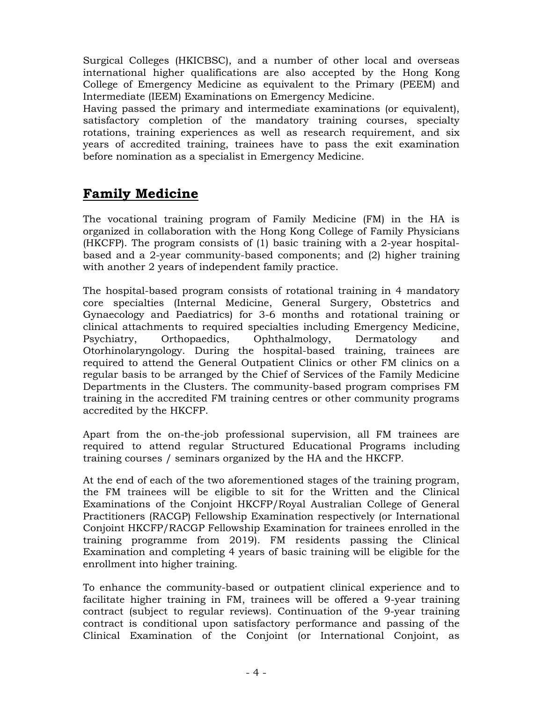Surgical Colleges (HKICBSC), and a number of other local and overseas international higher qualifications are also accepted by the Hong Kong College of Emergency Medicine as equivalent to the Primary (PEEM) and Intermediate (IEEM) Examinations on Emergency Medicine.

Having passed the primary and intermediate examinations (or equivalent), satisfactory completion of the mandatory training courses, specialty rotations, training experiences as well as research requirement, and six years of accredited training, trainees have to pass the exit examination before nomination as a specialist in Emergency Medicine.

### **Family Medicine**

The vocational training program of Family Medicine (FM) in the HA is organized in collaboration with the Hong Kong College of Family Physicians (HKCFP). The program consists of (1) basic training with a 2-year hospitalbased and a 2-year community-based components; and (2) higher training with another 2 years of independent family practice.

The hospital-based program consists of rotational training in 4 mandatory core specialties (Internal Medicine, General Surgery, Obstetrics and Gynaecology and Paediatrics) for 3-6 months and rotational training or clinical attachments to required specialties including Emergency Medicine, Psychiatry, Orthopaedics, Ophthalmology, Dermatology and Otorhinolaryngology. During the hospital-based training, trainees are required to attend the General Outpatient Clinics or other FM clinics on a regular basis to be arranged by the Chief of Services of the Family Medicine Departments in the Clusters. The community-based program comprises FM training in the accredited FM training centres or other community programs accredited by the HKCFP.

Apart from the on-the-job professional supervision, all FM trainees are required to attend regular Structured Educational Programs including training courses / seminars organized by the HA and the HKCFP.

At the end of each of the two aforementioned stages of the training program, the FM trainees will be eligible to sit for the Written and the Clinical Examinations of the Conjoint HKCFP/Royal Australian College of General Practitioners (RACGP) Fellowship Examination respectively (or International Conjoint HKCFP/RACGP Fellowship Examination for trainees enrolled in the training programme from 2019). FM residents passing the Clinical Examination and completing 4 years of basic training will be eligible for the enrollment into higher training.

To enhance the community-based or outpatient clinical experience and to facilitate higher training in FM, trainees will be offered a 9-year training contract (subject to regular reviews). Continuation of the 9-year training contract is conditional upon satisfactory performance and passing of the Clinical Examination of the Conjoint (or International Conjoint, as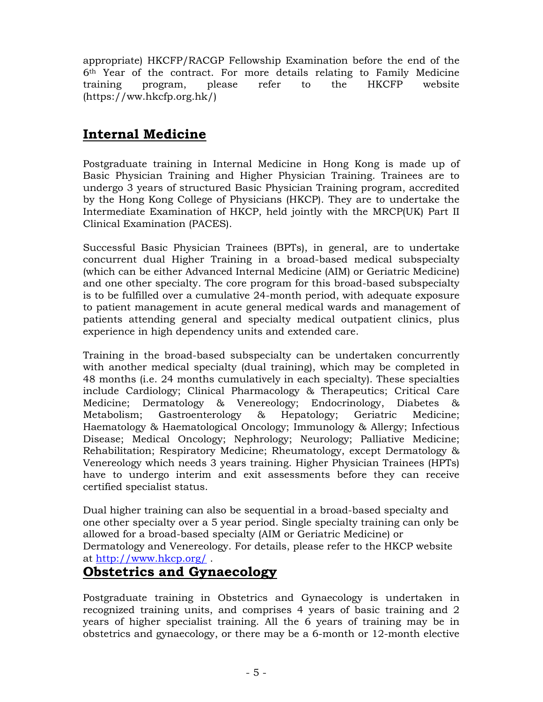appropriate) HKCFP/RACGP Fellowship Examination before the end of the 6th Year of the contract. For more details relating to Family Medicine training program, please refer to the HKCFP website (https://ww.hkcfp.org.hk/)

### **Internal Medicine**

Postgraduate training in Internal Medicine in Hong Kong is made up of Basic Physician Training and Higher Physician Training. Trainees are to undergo 3 years of structured Basic Physician Training program, accredited by the Hong Kong College of Physicians (HKCP). They are to undertake the Intermediate Examination of HKCP, held jointly with the MRCP(UK) Part II Clinical Examination (PACES).

Successful Basic Physician Trainees (BPTs), in general, are to undertake concurrent dual Higher Training in a broad-based medical subspecialty (which can be either Advanced Internal Medicine (AIM) or Geriatric Medicine) and one other specialty. The core program for this broad-based subspecialty is to be fulfilled over a cumulative 24-month period, with adequate exposure to patient management in acute general medical wards and management of patients attending general and specialty medical outpatient clinics, plus experience in high dependency units and extended care.

Training in the broad-based subspecialty can be undertaken concurrently with another medical specialty (dual training), which may be completed in 48 months (i.e. 24 months cumulatively in each specialty). These specialties include Cardiology; Clinical Pharmacology & Therapeutics; Critical Care Medicine; Dermatology & Venereology; Endocrinology, Diabetes & Metabolism; Gastroenterology & Hepatology; Geriatric Medicine; Haematology & Haematological Oncology; Immunology & Allergy; Infectious Disease; Medical Oncology; Nephrology; Neurology; Palliative Medicine; Rehabilitation; Respiratory Medicine; Rheumatology, except Dermatology & Venereology which needs 3 years training. Higher Physician Trainees (HPTs) have to undergo interim and exit assessments before they can receive certified specialist status.

Dual higher training can also be sequential in a broad-based specialty and one other specialty over a 5 year period. Single specialty training can only be allowed for a broad-based specialty (AIM or Geriatric Medicine) or Dermatology and Venereology. For details, please refer to the HKCP website at http://www.hkcp.org/ .

### **Obstetrics and Gynaecology**

Postgraduate training in Obstetrics and Gynaecology is undertaken in recognized training units, and comprises 4 years of basic training and 2 years of higher specialist training. All the 6 years of training may be in obstetrics and gynaecology, or there may be a 6-month or 12-month elective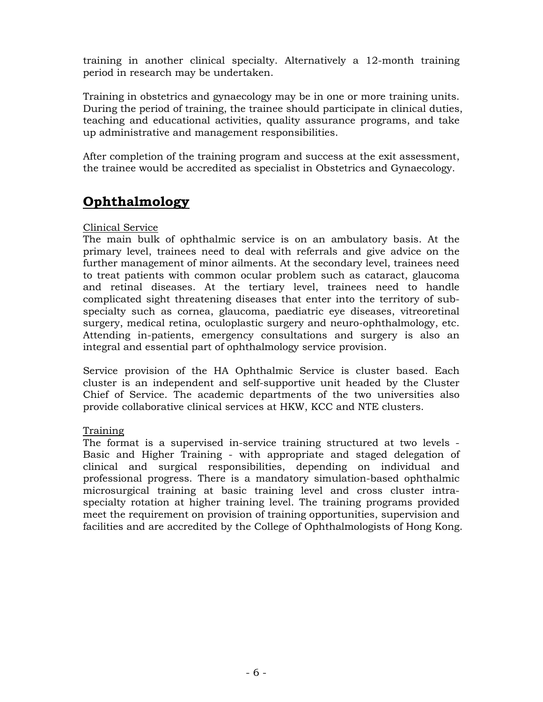training in another clinical specialty. Alternatively a 12-month training period in research may be undertaken.

Training in obstetrics and gynaecology may be in one or more training units. During the period of training, the trainee should participate in clinical duties, teaching and educational activities, quality assurance programs, and take up administrative and management responsibilities.

After completion of the training program and success at the exit assessment, the trainee would be accredited as specialist in Obstetrics and Gynaecology.

## **Ophthalmology**

#### Clinical Service

The main bulk of ophthalmic service is on an ambulatory basis. At the primary level, trainees need to deal with referrals and give advice on the further management of minor ailments. At the secondary level, trainees need to treat patients with common ocular problem such as cataract, glaucoma and retinal diseases. At the tertiary level, trainees need to handle complicated sight threatening diseases that enter into the territory of subspecialty such as cornea, glaucoma, paediatric eye diseases, vitreoretinal surgery, medical retina, oculoplastic surgery and neuro-ophthalmology, etc. Attending in-patients, emergency consultations and surgery is also an integral and essential part of ophthalmology service provision.

Service provision of the HA Ophthalmic Service is cluster based. Each cluster is an independent and self-supportive unit headed by the Cluster Chief of Service. The academic departments of the two universities also provide collaborative clinical services at HKW, KCC and NTE clusters.

#### Training

The format is a supervised in-service training structured at two levels - Basic and Higher Training - with appropriate and staged delegation of clinical and surgical responsibilities, depending on individual and professional progress. There is a mandatory simulation-based ophthalmic microsurgical training at basic training level and cross cluster intraspecialty rotation at higher training level. The training programs provided meet the requirement on provision of training opportunities, supervision and facilities and are accredited by the College of Ophthalmologists of Hong Kong.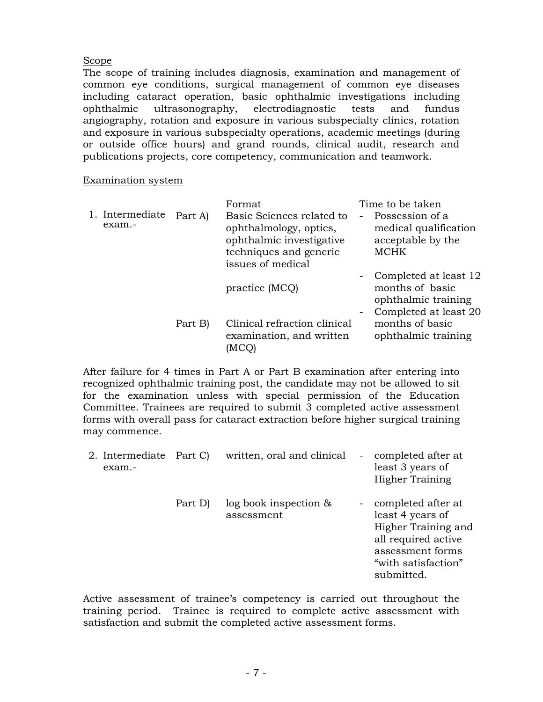#### Scope

The scope of training includes diagnosis, examination and management of common eye conditions, surgical management of common eye diseases including cataract operation, basic ophthalmic investigations including ophthalmic ultrasonography, electrodiagnostic tests and fundus angiography, rotation and exposure in various subspecialty clinics, rotation and exposure in various subspecialty operations, academic meetings (during or outside office hours) and grand rounds, clinical audit, research and publications projects, core competency, communication and teamwork.

#### Examination system

|                           |         | Format                                                                                                                         | Time to be taken                                                                                                                                 |
|---------------------------|---------|--------------------------------------------------------------------------------------------------------------------------------|--------------------------------------------------------------------------------------------------------------------------------------------------|
| 1. Intermediate<br>exam.- | Part A) | Basic Sciences related to<br>ophthalmology, optics,<br>ophthalmic investigative<br>techniques and generic<br>issues of medical | Possession of a<br>$\overline{\phantom{a}}$<br>medical qualification<br>acceptable by the<br><b>MCHK</b>                                         |
|                           |         | practice (MCQ)                                                                                                                 | Completed at least 12<br>$\overline{\phantom{a}}$<br>months of basic<br>ophthalmic training<br>Completed at least 20<br>$\overline{\phantom{a}}$ |
|                           | Part B) | Clinical refraction clinical<br>examination, and written                                                                       | months of basic<br>ophthalmic training                                                                                                           |

After failure for 4 times in Part A or Part B examination after entering into recognized ophthalmic training post, the candidate may not be allowed to sit for the examination unless with special permission of the Education Committee. Trainees are required to submit 3 completed active assessment forms with overall pass for cataract extraction before higher surgical training may commence.

| 2. Intermediate Part C)<br>exam.- |         | written, oral and clinical               | $\sim$ $-$               | completed after at<br>least 3 years of<br><b>Higher Training</b>                                                                              |
|-----------------------------------|---------|------------------------------------------|--------------------------|-----------------------------------------------------------------------------------------------------------------------------------------------|
|                                   | Part D) | $log$ book inspection $\&$<br>assessment | $\overline{\phantom{a}}$ | completed after at<br>least 4 years of<br>Higher Training and<br>all required active<br>assessment forms<br>"with satisfaction"<br>submitted. |

Active assessment of trainee's competency is carried out throughout the training period. Trainee is required to complete active assessment with satisfaction and submit the completed active assessment forms.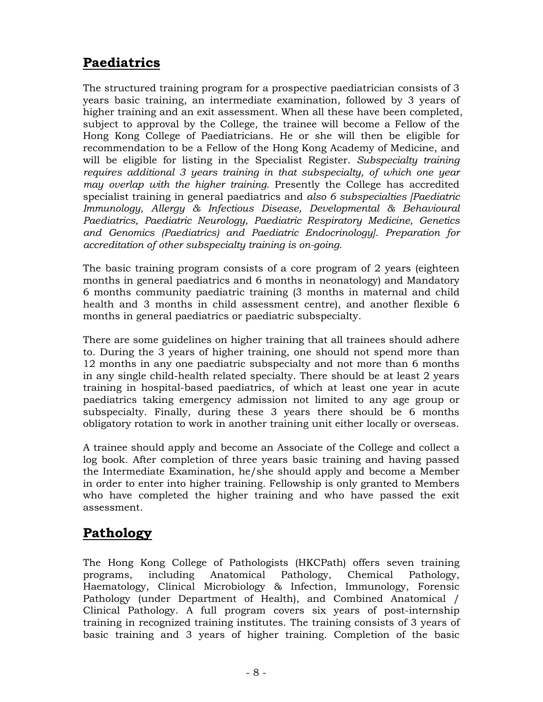# **Paediatrics**

The structured training program for a prospective paediatrician consists of 3 years basic training, an intermediate examination, followed by 3 years of higher training and an exit assessment. When all these have been completed, subject to approval by the College, the trainee will become a Fellow of the Hong Kong College of Paediatricians. He or she will then be eligible for recommendation to be a Fellow of the Hong Kong Academy of Medicine, and will be eligible for listing in the Specialist Register. *Subspecialty training requires additional 3 years training in that subspecialty, of which one year may overlap with the higher training.* Presently the College has accredited specialist training in general paediatrics and *also 6 subspecialties [Paediatric Immunology, Allergy & Infectious Disease, Developmental & Behavioural Paediatrics, Paediatric Neurology, Paediatric Respiratory Medicine, Genetics and Genomics (Paediatrics) and Paediatric Endocrinology]. Preparation for accreditation of other subspecialty training is on-going.*

The basic training program consists of a core program of 2 years (eighteen months in general paediatrics and 6 months in neonatology) and Mandatory 6 months community paediatric training (3 months in maternal and child health and 3 months in child assessment centre), and another flexible 6 months in general paediatrics or paediatric subspecialty.

There are some guidelines on higher training that all trainees should adhere to. During the 3 years of higher training, one should not spend more than 12 months in any one paediatric subspecialty and not more than 6 months in any single child-health related specialty. There should be at least 2 years training in hospital-based paediatrics, of which at least one year in acute paediatrics taking emergency admission not limited to any age group or subspecialty. Finally, during these 3 years there should be 6 months obligatory rotation to work in another training unit either locally or overseas.

A trainee should apply and become an Associate of the College and collect a log book. After completion of three years basic training and having passed the Intermediate Examination, he/she should apply and become a Member in order to enter into higher training. Fellowship is only granted to Members who have completed the higher training and who have passed the exit assessment.

# **Pathology**

The Hong Kong College of Pathologists (HKCPath) offers seven training programs, including Anatomical Pathology, Chemical Pathology, Haematology, Clinical Microbiology & Infection, Immunology, Forensic Pathology (under Department of Health), and Combined Anatomical / Clinical Pathology. A full program covers six years of post-internship training in recognized training institutes. The training consists of 3 years of basic training and 3 years of higher training. Completion of the basic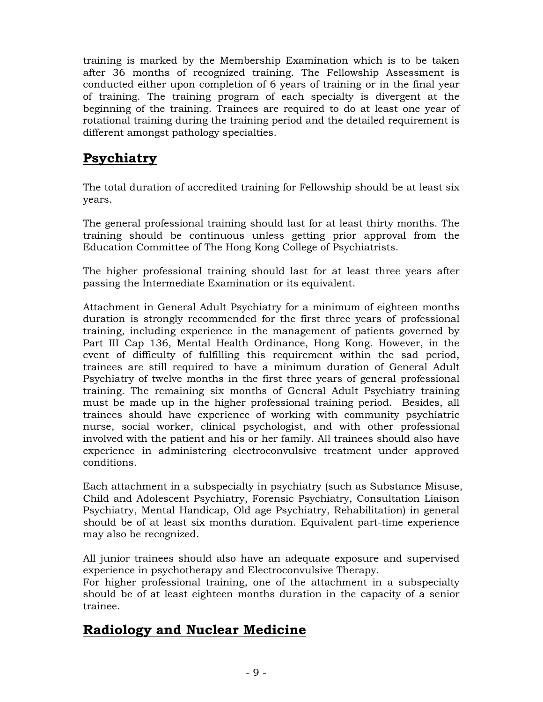training is marked by the Membership Examination which is to be taken after 36 months of recognized training. The Fellowship Assessment is conducted either upon completion of 6 years of training or in the final year of training. The training program of each specialty is divergent at the beginning of the training. Trainees are required to do at least one year of rotational training during the training period and the detailed requirement is different amongst pathology specialties.

## **Psychiatry**

The total duration of accredited training for Fellowship should be at least six years.

The general professional training should last for at least thirty months. The training should be continuous unless getting prior approval from the Education Committee of The Hong Kong College of Psychiatrists.

The higher professional training should last for at least three years after passing the Intermediate Examination or its equivalent.

Attachment in General Adult Psychiatry for a minimum of eighteen months duration is strongly recommended for the first three years of professional training, including experience in the management of patients governed by Part III Cap 136, Mental Health Ordinance, Hong Kong. However, in the event of difficulty of fulfilling this requirement within the sad period, trainees are still required to have a minimum duration of General Adult Psychiatry of twelve months in the first three years of general professional training. The remaining six months of General Adult Psychiatry training must be made up in the higher professional training period. Besides, all trainees should have experience of working with community psychiatric nurse, social worker, clinical psychologist, and with other professional involved with the patient and his or her family. All trainees should also have experience in administering electroconvulsive treatment under approved conditions.

Each attachment in a subspecialty in psychiatry (such as Substance Misuse, Child and Adolescent Psychiatry, Forensic Psychiatry, Consultation Liaison Psychiatry, Mental Handicap, Old age Psychiatry, Rehabilitation) in general should be of at least six months duration. Equivalent part-time experience may also be recognized.

All junior trainees should also have an adequate exposure and supervised experience in psychotherapy and Electroconvulsive Therapy.

For higher professional training, one of the attachment in a subspecialty should be of at least eighteen months duration in the capacity of a senior trainee.

### **Radiology and Nuclear Medicine**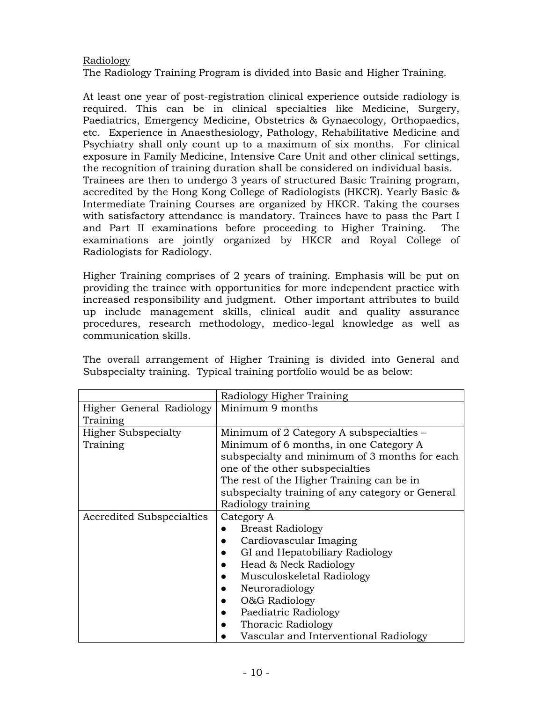#### Radiology

The Radiology Training Program is divided into Basic and Higher Training.

At least one year of post-registration clinical experience outside radiology is required. This can be in clinical specialties like Medicine, Surgery, Paediatrics, Emergency Medicine, Obstetrics & Gynaecology, Orthopaedics, etc. Experience in Anaesthesiology, Pathology, Rehabilitative Medicine and Psychiatry shall only count up to a maximum of six months. For clinical exposure in Family Medicine, Intensive Care Unit and other clinical settings, the recognition of training duration shall be considered on individual basis. Trainees are then to undergo 3 years of structured Basic Training program, accredited by the Hong Kong College of Radiologists (HKCR). Yearly Basic & Intermediate Training Courses are organized by HKCR. Taking the courses with satisfactory attendance is mandatory. Trainees have to pass the Part I and Part II examinations before proceeding to Higher Training. The examinations are jointly organized by HKCR and Royal College of Radiologists for Radiology.

Higher Training comprises of 2 years of training. Emphasis will be put on providing the trainee with opportunities for more independent practice with increased responsibility and judgment. Other important attributes to build up include management skills, clinical audit and quality assurance procedures, research methodology, medico-legal knowledge as well as communication skills.

The overall arrangement of Higher Training is divided into General and Subspecialty training. Typical training portfolio would be as below:

|                            | Radiology Higher Training                        |  |  |
|----------------------------|--------------------------------------------------|--|--|
| Higher General Radiology   | Minimum 9 months                                 |  |  |
| Training                   |                                                  |  |  |
| <b>Higher Subspecialty</b> | Minimum of 2 Category A subspecialties –         |  |  |
| Training                   | Minimum of 6 months, in one Category A           |  |  |
|                            | subspecialty and minimum of 3 months for each    |  |  |
|                            | one of the other subspecialties                  |  |  |
|                            | The rest of the Higher Training can be in        |  |  |
|                            | subspecialty training of any category or General |  |  |
|                            | Radiology training                               |  |  |
| Accredited Subspecialties  | Category A                                       |  |  |
|                            | <b>Breast Radiology</b>                          |  |  |
|                            | Cardiovascular Imaging                           |  |  |
|                            | GI and Hepatobiliary Radiology                   |  |  |
|                            | Head & Neck Radiology                            |  |  |
|                            | Musculoskeletal Radiology                        |  |  |
|                            | Neuroradiology                                   |  |  |
|                            | O&G Radiology                                    |  |  |
|                            | Paediatric Radiology                             |  |  |
|                            | Thoracic Radiology                               |  |  |
|                            | Vascular and Interventional Radiology            |  |  |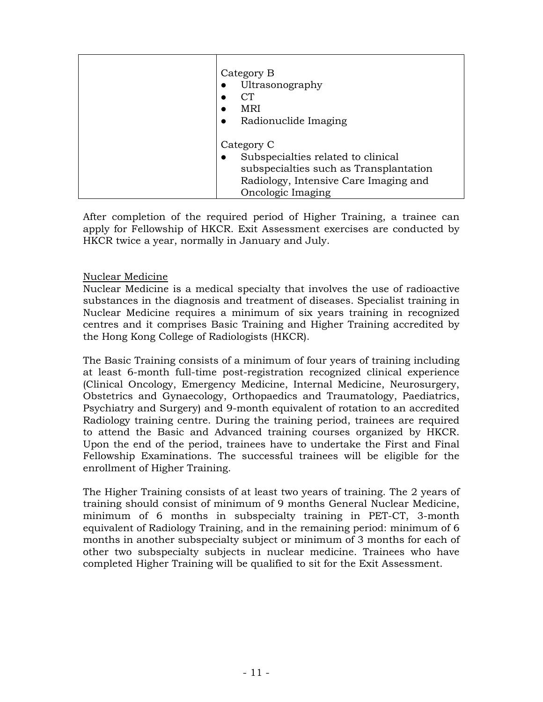| Category B<br>Ultrasonography<br>CТ<br><b>MRI</b><br>Radionuclide Imaging                                                                                |
|----------------------------------------------------------------------------------------------------------------------------------------------------------|
| Category C<br>Subspecialties related to clinical<br>subspecialties such as Transplantation<br>Radiology, Intensive Care Imaging and<br>Oncologic Imaging |

After completion of the required period of Higher Training, a trainee can apply for Fellowship of HKCR. Exit Assessment exercises are conducted by HKCR twice a year, normally in January and July.

#### Nuclear Medicine

Nuclear Medicine is a medical specialty that involves the use of radioactive substances in the diagnosis and treatment of diseases. Specialist training in Nuclear Medicine requires a minimum of six years training in recognized centres and it comprises Basic Training and Higher Training accredited by the Hong Kong College of Radiologists (HKCR).

The Basic Training consists of a minimum of four years of training including at least 6-month full-time post-registration recognized clinical experience (Clinical Oncology, Emergency Medicine, Internal Medicine, Neurosurgery, Obstetrics and Gynaecology, Orthopaedics and Traumatology, Paediatrics, Psychiatry and Surgery) and 9-month equivalent of rotation to an accredited Radiology training centre. During the training period, trainees are required to attend the Basic and Advanced training courses organized by HKCR. Upon the end of the period, trainees have to undertake the First and Final Fellowship Examinations. The successful trainees will be eligible for the enrollment of Higher Training.

The Higher Training consists of at least two years of training. The 2 years of training should consist of minimum of 9 months General Nuclear Medicine, minimum of 6 months in subspecialty training in PET-CT, 3-month equivalent of Radiology Training, and in the remaining period: minimum of 6 months in another subspecialty subject or minimum of 3 months for each of other two subspecialty subjects in nuclear medicine. Trainees who have completed Higher Training will be qualified to sit for the Exit Assessment.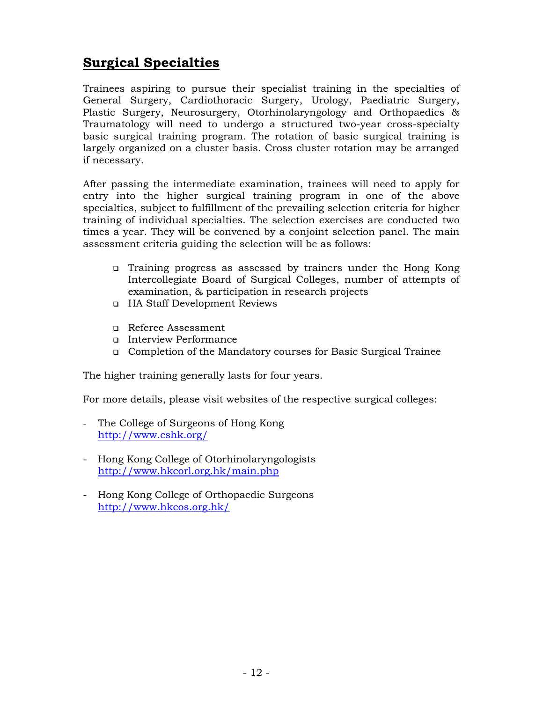## **Surgical Specialties**

Trainees aspiring to pursue their specialist training in the specialties of General Surgery, Cardiothoracic Surgery, Urology, Paediatric Surgery, Plastic Surgery, Neurosurgery, Otorhinolaryngology and Orthopaedics & Traumatology will need to undergo a structured two-year cross-specialty basic surgical training program. The rotation of basic surgical training is largely organized on a cluster basis. Cross cluster rotation may be arranged if necessary.

After passing the intermediate examination, trainees will need to apply for entry into the higher surgical training program in one of the above specialties, subject to fulfillment of the prevailing selection criteria for higher training of individual specialties. The selection exercises are conducted two times a year. They will be convened by a conjoint selection panel. The main assessment criteria guiding the selection will be as follows:

- Training progress as assessed by trainers under the Hong Kong Intercollegiate Board of Surgical Colleges, number of attempts of examination, & participation in research projects
- HA Staff Development Reviews
- Referee Assessment
- Interview Performance
- Completion of the Mandatory courses for Basic Surgical Trainee

The higher training generally lasts for four years.

For more details, please visit websites of the respective surgical colleges:

- The College of Surgeons of Hong Kong http://www.cshk.org/
- Hong Kong College of Otorhinolaryngologists http://www.hkcorl.org.hk/main.php
- Hong Kong College of Orthopaedic Surgeons http://www.hkcos.org.hk/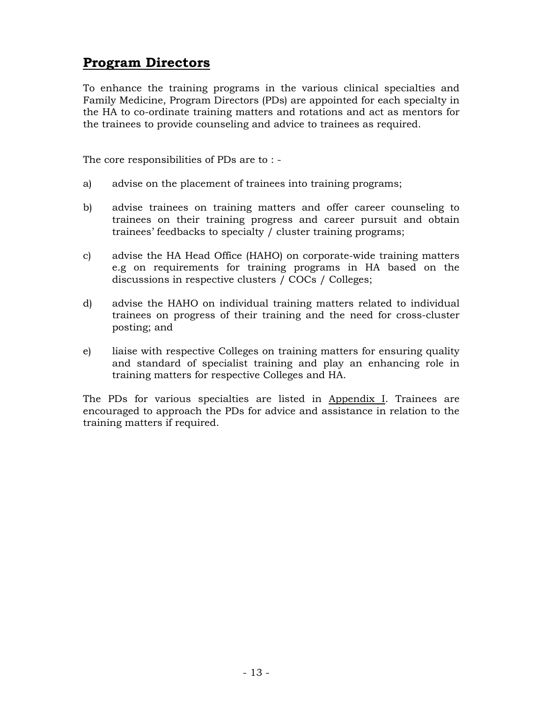### **Program Directors**

To enhance the training programs in the various clinical specialties and Family Medicine, Program Directors (PDs) are appointed for each specialty in the HA to co-ordinate training matters and rotations and act as mentors for the trainees to provide counseling and advice to trainees as required.

The core responsibilities of PDs are to : -

- a) advise on the placement of trainees into training programs;
- b) advise trainees on training matters and offer career counseling to trainees on their training progress and career pursuit and obtain trainees' feedbacks to specialty / cluster training programs;
- c) advise the HA Head Office (HAHO) on corporate-wide training matters e.g on requirements for training programs in HA based on the discussions in respective clusters / COCs / Colleges;
- d) advise the HAHO on individual training matters related to individual trainees on progress of their training and the need for cross-cluster posting; and
- e) liaise with respective Colleges on training matters for ensuring quality and standard of specialist training and play an enhancing role in training matters for respective Colleges and HA.

The PDs for various specialties are listed in Appendix I. Trainees are encouraged to approach the PDs for advice and assistance in relation to the training matters if required.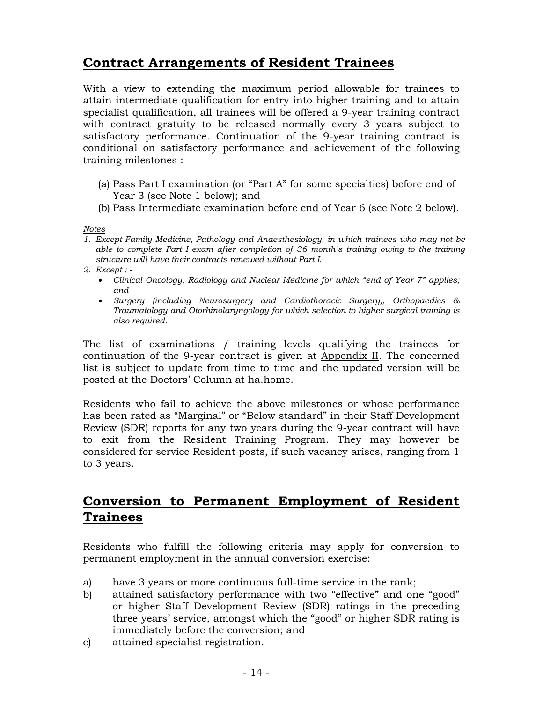## **Contract Arrangements of Resident Trainees**

With a view to extending the maximum period allowable for trainees to attain intermediate qualification for entry into higher training and to attain specialist qualification, all trainees will be offered a 9-year training contract with contract gratuity to be released normally every 3 years subject to satisfactory performance. Continuation of the 9-year training contract is conditional on satisfactory performance and achievement of the following training milestones : -

- (a) Pass Part I examination (or "Part A" for some specialties) before end of Year 3 (see Note 1 below); and
- (b) Pass Intermediate examination before end of Year 6 (see Note 2 below).

*Notes* 

- *1. Except Family Medicine, Pathology and Anaesthesiology, in which trainees who may not be able to complete Part I exam after completion of 36 month's training owing to the training structure will have their contracts renewed without Part I.*
- *2. Except :* 
	- *Clinical Oncology, Radiology and Nuclear Medicine for which "end of Year 7" applies; and*
	- *Surgery (including Neurosurgery and Cardiothoracic Surgery), Orthopaedics & Traumatology and Otorhinolaryngology for which selection to higher surgical training is also required.*

The list of examinations / training levels qualifying the trainees for continuation of the 9-year contract is given at Appendix II. The concerned list is subject to update from time to time and the updated version will be posted at the Doctors' Column at ha.home.

Residents who fail to achieve the above milestones or whose performance has been rated as "Marginal" or "Below standard" in their Staff Development Review (SDR) reports for any two years during the 9-year contract will have to exit from the Resident Training Program. They may however be considered for service Resident posts, if such vacancy arises, ranging from 1 to 3 years.

### **Conversion to Permanent Employment of Resident Trainees**

Residents who fulfill the following criteria may apply for conversion to permanent employment in the annual conversion exercise:

- a) have 3 years or more continuous full-time service in the rank;
- b) attained satisfactory performance with two "effective" and one "good" or higher Staff Development Review (SDR) ratings in the preceding three years' service, amongst which the "good" or higher SDR rating is immediately before the conversion; and
- c) attained specialist registration.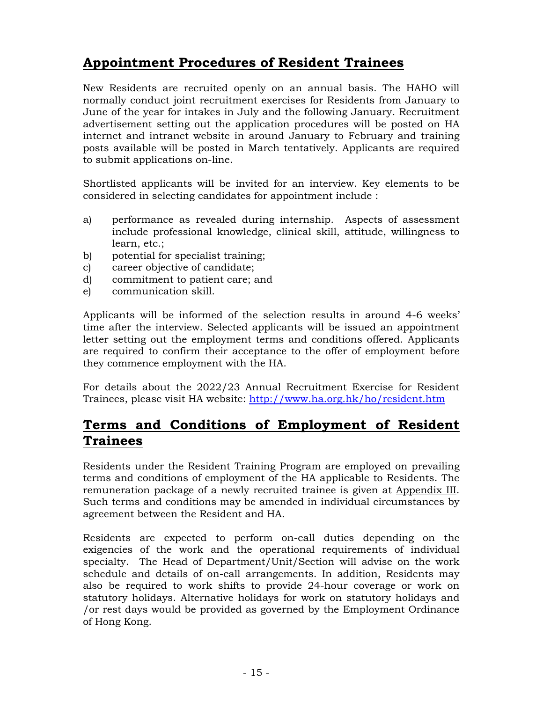# **Appointment Procedures of Resident Trainees**

New Residents are recruited openly on an annual basis. The HAHO will normally conduct joint recruitment exercises for Residents from January to June of the year for intakes in July and the following January. Recruitment advertisement setting out the application procedures will be posted on HA internet and intranet website in around January to February and training posts available will be posted in March tentatively. Applicants are required to submit applications on-line.

Shortlisted applicants will be invited for an interview. Key elements to be considered in selecting candidates for appointment include :

- a) performance as revealed during internship. Aspects of assessment include professional knowledge, clinical skill, attitude, willingness to learn, etc.;
- b) potential for specialist training;
- c) career objective of candidate;
- d) commitment to patient care; and
- e) communication skill.

Applicants will be informed of the selection results in around 4-6 weeks' time after the interview. Selected applicants will be issued an appointment letter setting out the employment terms and conditions offered. Applicants are required to confirm their acceptance to the offer of employment before they commence employment with the HA.

For details about the 2022/23 Annual Recruitment Exercise for Resident Trainees, please visit HA website: http://www.ha.org.hk/ho/resident.htm

### **Terms and Conditions of Employment of Resident Trainees**

Residents under the Resident Training Program are employed on prevailing terms and conditions of employment of the HA applicable to Residents. The remuneration package of a newly recruited trainee is given at Appendix III. Such terms and conditions may be amended in individual circumstances by agreement between the Resident and HA.

Residents are expected to perform on-call duties depending on the exigencies of the work and the operational requirements of individual specialty. The Head of Department/Unit/Section will advise on the work schedule and details of on-call arrangements. In addition, Residents may also be required to work shifts to provide 24-hour coverage or work on statutory holidays. Alternative holidays for work on statutory holidays and /or rest days would be provided as governed by the Employment Ordinance of Hong Kong.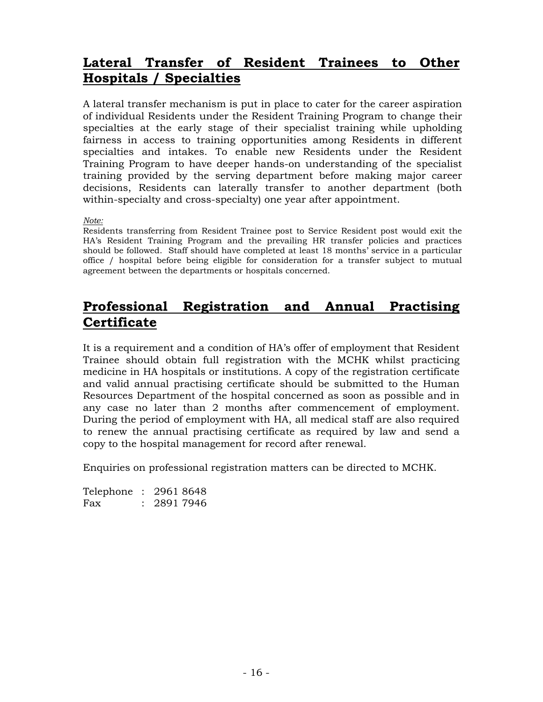### **Lateral Transfer of Resident Trainees to Other Hospitals / Specialties**

A lateral transfer mechanism is put in place to cater for the career aspiration of individual Residents under the Resident Training Program to change their specialties at the early stage of their specialist training while upholding fairness in access to training opportunities among Residents in different specialties and intakes. To enable new Residents under the Resident Training Program to have deeper hands-on understanding of the specialist training provided by the serving department before making major career decisions, Residents can laterally transfer to another department (both within-specialty and cross-specialty) one year after appointment.

#### *Note:*

Residents transferring from Resident Trainee post to Service Resident post would exit the HA's Resident Training Program and the prevailing HR transfer policies and practices should be followed. Staff should have completed at least 18 months' service in a particular office / hospital before being eligible for consideration for a transfer subject to mutual agreement between the departments or hospitals concerned.

### **Professional Registration and Annual Practising Certificate**

It is a requirement and a condition of HA's offer of employment that Resident Trainee should obtain full registration with the MCHK whilst practicing medicine in HA hospitals or institutions. A copy of the registration certificate and valid annual practising certificate should be submitted to the Human Resources Department of the hospital concerned as soon as possible and in any case no later than 2 months after commencement of employment. During the period of employment with HA, all medical staff are also required to renew the annual practising certificate as required by law and send a copy to the hospital management for record after renewal.

Enquiries on professional registration matters can be directed to MCHK.

|     | Telephone : 2961 8648 |
|-----|-----------------------|
| Fax | : 28917946            |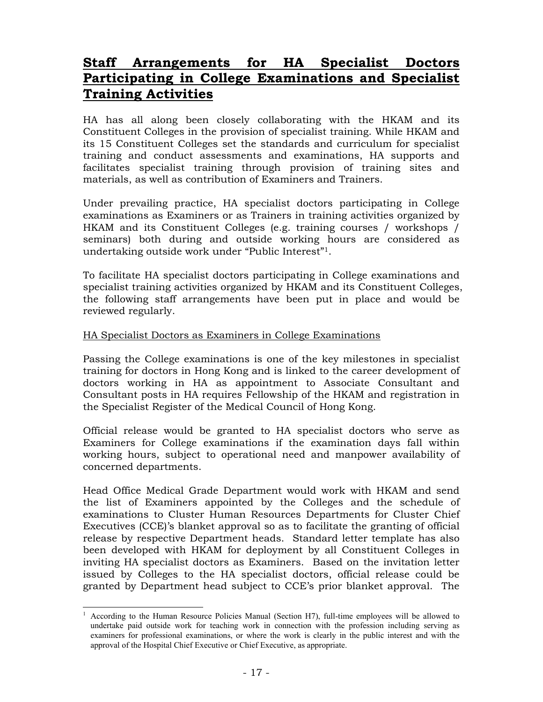### **Staff Arrangements for HA Specialist Doctors Participating in College Examinations and Specialist Training Activities**

HA has all along been closely collaborating with the HKAM and its Constituent Colleges in the provision of specialist training. While HKAM and its 15 Constituent Colleges set the standards and curriculum for specialist training and conduct assessments and examinations, HA supports and facilitates specialist training through provision of training sites and materials, as well as contribution of Examiners and Trainers.

Under prevailing practice, HA specialist doctors participating in College examinations as Examiners or as Trainers in training activities organized by HKAM and its Constituent Colleges (e.g. training courses / workshops / seminars) both during and outside working hours are considered as undertaking outside work under "Public Interest"1.

To facilitate HA specialist doctors participating in College examinations and specialist training activities organized by HKAM and its Constituent Colleges, the following staff arrangements have been put in place and would be reviewed regularly.

#### HA Specialist Doctors as Examiners in College Examinations

Passing the College examinations is one of the key milestones in specialist training for doctors in Hong Kong and is linked to the career development of doctors working in HA as appointment to Associate Consultant and Consultant posts in HA requires Fellowship of the HKAM and registration in the Specialist Register of the Medical Council of Hong Kong.

Official release would be granted to HA specialist doctors who serve as Examiners for College examinations if the examination days fall within working hours, subject to operational need and manpower availability of concerned departments.

Head Office Medical Grade Department would work with HKAM and send the list of Examiners appointed by the Colleges and the schedule of examinations to Cluster Human Resources Departments for Cluster Chief Executives (CCE)'s blanket approval so as to facilitate the granting of official release by respective Department heads. Standard letter template has also been developed with HKAM for deployment by all Constituent Colleges in inviting HA specialist doctors as Examiners. Based on the invitation letter issued by Colleges to the HA specialist doctors, official release could be granted by Department head subject to CCE's prior blanket approval. The

 $\overline{a}$ 

<sup>1</sup> According to the Human Resource Policies Manual (Section H7), full-time employees will be allowed to undertake paid outside work for teaching work in connection with the profession including serving as examiners for professional examinations, or where the work is clearly in the public interest and with the approval of the Hospital Chief Executive or Chief Executive, as appropriate.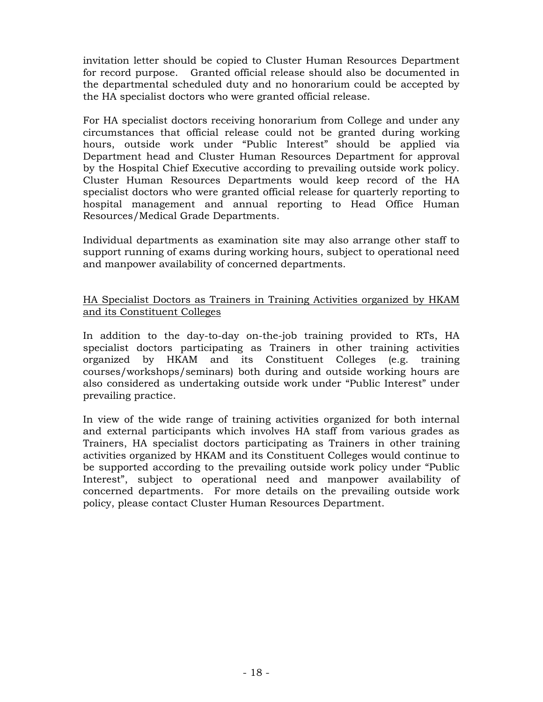invitation letter should be copied to Cluster Human Resources Department for record purpose. Granted official release should also be documented in the departmental scheduled duty and no honorarium could be accepted by the HA specialist doctors who were granted official release.

For HA specialist doctors receiving honorarium from College and under any circumstances that official release could not be granted during working hours, outside work under "Public Interest" should be applied via Department head and Cluster Human Resources Department for approval by the Hospital Chief Executive according to prevailing outside work policy. Cluster Human Resources Departments would keep record of the HA specialist doctors who were granted official release for quarterly reporting to hospital management and annual reporting to Head Office Human Resources/Medical Grade Departments.

Individual departments as examination site may also arrange other staff to support running of exams during working hours, subject to operational need and manpower availability of concerned departments.

#### HA Specialist Doctors as Trainers in Training Activities organized by HKAM and its Constituent Colleges

In addition to the day-to-day on-the-job training provided to RTs, HA specialist doctors participating as Trainers in other training activities organized by HKAM and its Constituent Colleges (e.g. training courses/workshops/seminars) both during and outside working hours are also considered as undertaking outside work under "Public Interest" under prevailing practice.

In view of the wide range of training activities organized for both internal and external participants which involves HA staff from various grades as Trainers, HA specialist doctors participating as Trainers in other training activities organized by HKAM and its Constituent Colleges would continue to be supported according to the prevailing outside work policy under "Public Interest", subject to operational need and manpower availability of concerned departments. For more details on the prevailing outside work policy, please contact Cluster Human Resources Department.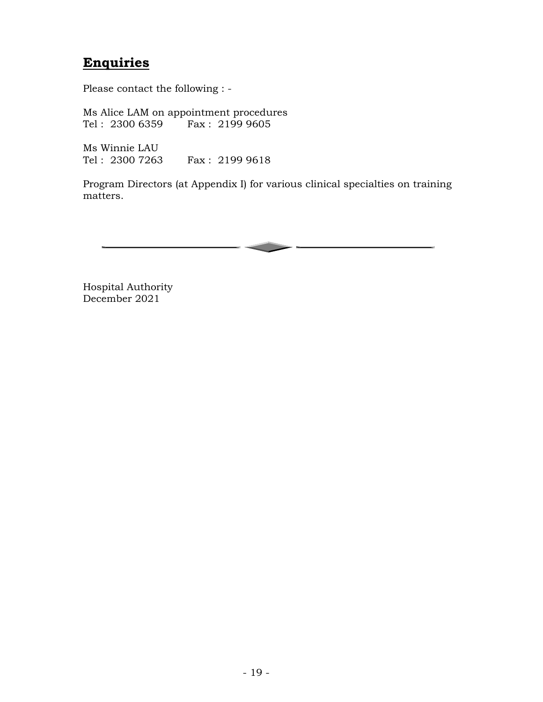## **Enquiries**

Please contact the following : -

Ms Alice LAM on appointment procedures<br>Tel: 2300 6359 Fax: 2199 9605  $Tel: 2300 6359$ 

Ms Winnie LAU Tel : 2300 7263 Fax : 2199 9618

Program Directors (at Appendix I) for various clinical specialties on training matters.



Hospital Authority December 2021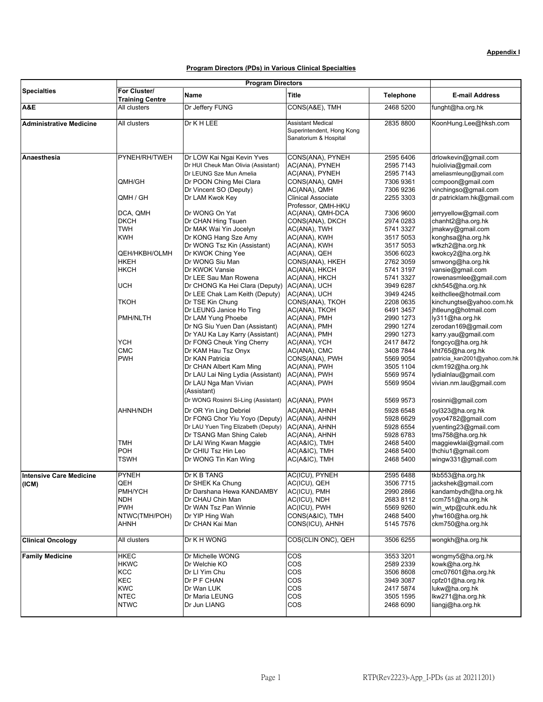#### **Program Directors (PDs) in Various Clinical Specialties**

|                                | <b>Program Directors</b> |                                             |                           |                  |                               |
|--------------------------------|--------------------------|---------------------------------------------|---------------------------|------------------|-------------------------------|
| <b>Specialties</b>             | For Cluster/             |                                             |                           |                  |                               |
|                                | <b>Training Centre</b>   | Name                                        | Title                     | <b>Telephone</b> | <b>E-mail Address</b>         |
| A&E                            | All clusters             | Dr Jeffery FUNG                             | CONS(A&E), TMH            | 2468 5200        | funght@ha.org.hk              |
| <b>Administrative Medicine</b> | All clusters             | Dr K H LEE                                  | <b>Assistant Medical</b>  | 2835 8800        | KoonHung.Lee@hksh.com         |
|                                |                          |                                             | Superintendent, Hong Kong |                  |                               |
|                                |                          |                                             | Sanatorium & Hospital     |                  |                               |
|                                |                          |                                             |                           |                  |                               |
| Anaesthesia                    | PYNEH/RH/TWEH            | Dr LOW Kai Ngai Kevin Yves                  | CONS(ANA), PYNEH          | 2595 6406        | drlowkevin@gmail.com          |
|                                |                          | Dr HUI Cheuk Man Olivia (Assistant)         | AC(ANA), PYNEH            | 2595 7143        | huiolivia@gmail.com           |
|                                |                          | Dr LEUNG Sze Mun Amelia                     | AC(ANA), PYNEH            | 2595 7143        | ameliasmleung@gmail.com       |
|                                | QMH/GH                   | Dr POON Ching Mei Clara                     | CONS(ANA), QMH            | 7306 9361        | ccmpoon@gmail.com             |
|                                |                          | Dr Vincent SO (Deputy)                      | AC(ANA), QMH              | 7306 9236        | vinchingso@gmail.com          |
|                                | QMH / GH                 | Dr LAM Kwok Key                             | <b>Clinical Associate</b> | 2255 3303        | dr.patricklam.hk@qmail.com    |
|                                |                          |                                             | Professor, QMH-HKU        |                  |                               |
|                                | DCA, QMH                 | Dr WONG On Yat                              | AC(ANA), QMH-DCA          | 7306 9600        | jerryyellow@gmail.com         |
|                                | <b>DKCH</b>              | Dr CHAN Hing Tsuen                          | CONS(ANA), DKCH           | 2974 0283        | chanht2@ha.org.hk             |
|                                | TWH                      | Dr MAK Wai Yin Jocelyn                      | AC(ANA), TWH              | 5741 3327        | jmakwy@gmail.com              |
|                                | KWH                      | Dr KONG Hang Sze Amy                        | AC(ANA), KWH              | 3517 5053        | konghsa@ha.org.hk             |
|                                |                          | Dr WONG Tsz Kin (Assistant)                 | AC(ANA), KWH              | 3517 5053        | wtkzh2@ha.org.hk              |
|                                | QEH/HKBH/OLMH            | Dr KWOK Ching Yee                           | AC(ANA), QEH              | 3506 6023        | kwokcy2@ha.org.hk             |
|                                | HKEH                     | Dr WONG Siu Man                             | CONS(ANA), HKEH           | 2762 3059        | smwong@ha.org.hk              |
|                                | нксн                     | Dr KWOK Vansie                              | AC(ANA), HKCH             | 5741 3197        | vansie@gmail.com              |
|                                |                          | Dr LEE Sau Man Rowena                       | AC(ANA), HKCH             | 5741 3327        | rowenasmlee@gmail.com         |
|                                | UCH                      | Dr CHONG Ka Hei Clara (Deputy)              | AC(ANA), UCH              | 3949 6287        | ckh545@ha.org.hk              |
|                                |                          |                                             | AC(ANA), UCH              | 3949 4245        | keithcllee@hotmail.com        |
|                                | ткон                     | Dr LEE Chak Lam Keith (Deputy)              |                           | 2208 0635        |                               |
|                                |                          | Dr TSE Kin Chung<br>Dr LEUNG Janice Ho Ting | CONS(ANA), TKOH           | 6491 3457        | kinchungtse@yahoo.com.hk      |
|                                | PMH/NLTH                 |                                             | AC(ANA), TKOH             | 2990 1273        | jhtleung@hotmail.com          |
|                                |                          | Dr LAM Yung Phoebe                          | AC(ANA), PMH              |                  | ly311@ha.org.hk               |
|                                |                          | Dr NG Siu Yuen Dan (Assistant)              | AC(ANA), PMH              | 2990 1274        | zerodan169@gmail.com          |
|                                |                          | Dr YAU Ka Lay Karry (Assistant)             | AC(ANA), PMH              | 2990 1273        | karry.yau@gmail.com           |
|                                | YCH                      | Dr FONG Cheuk Ying Cherry                   | AC(ANA), YCH              | 24178472         | fongcyc@ha.org.hk             |
|                                | <b>CMC</b>               | Dr KAM Hau Tsz Onyx                         | AC(ANA), CMC              | 3408 7844        | kht765@ha.org.hk              |
|                                | <b>PWH</b>               | Dr KAN Patricia                             | CONS(ANA), PWH            | 5569 9054        | patricia_kan2001@yahoo.com.hk |
|                                |                          | Dr CHAN Albert Kam Ming                     | AC(ANA), PWH              | 3505 1104        | ckm192@ha.org.hk              |
|                                |                          | Dr LAU Lai Ning Lydia (Assistant)           | AC(ANA), PWH              | 5569 9574        | lydialnlau@gmail.com          |
|                                |                          | Dr LAU Nga Man Vivian                       | AC(ANA), PWH              | 5569 9504        | vivian.nm.lau@gmail.com       |
|                                |                          | (Assistant)                                 |                           |                  |                               |
|                                |                          | Dr WONG Rosinni Si-Ling (Assistant)         | AC(ANA), PWH              | 5569 9573        | rosinni@gmail.com             |
|                                | AHNH/NDH                 | Dr OR Yin Ling Debriel                      | AC(ANA), AHNH             | 5928 6548        | oyl323@ha.org.hk              |
|                                |                          | Dr FONG Chor Yiu Yoyo (Deputy)              | AC(ANA), AHNH             | 5928 6629        | yoyo4782@gmail.com            |
|                                |                          | Dr LAU Yuen Ting Elizabeth (Deputy)         | AC(ANA), AHNH             | 5928 6554        | yuenting23@gmail.com          |
|                                |                          | Dr TSANG Man Shing Caleb                    | AC(ANA), AHNH             | 5928 6783        | tms758@ha.org.hk              |
|                                | TMH                      | Dr LAI Wing Kwan Maggie                     | AC(A&IC), TMH             | 2468 5400        | maggiewklai@gmail.com         |
|                                | POH                      | Dr CHIU Tsz Hin Leo                         | AC(A&IC), TMH             | 2468 5400        | thchiu1@gmail.com             |
|                                | TSWH                     | Dr WONG Tin Kan Wing                        | AC(A&IC), TMH             | 2468 5400        | wingw331@gmail.com            |
|                                |                          |                                             |                           |                  |                               |
| <b>Intensive Care Medicine</b> | <b>PYNEH</b>             | Dr K B TANG                                 | AC(ICU), PYNEH            | 2595 6488        | tkb553@ha.org.hk              |
| (ICM)                          | QEH                      | Dr SHEK Ka Chung                            | AC(ICU), QEH              | 3506 7715        | jackshek@gmail.com            |
|                                | PMH/YCH                  | Dr Darshana Hewa KANDAMBY                   | AC(ICU), PMH              | 2990 2866        | kandambydh@ha.org.hk          |
|                                | NDH                      | Dr CHAU Chin Man                            | AC(ICU), NDH              | 2683 8112        | ccm751@ha.org.hk              |
|                                | <b>PWH</b>               | Dr WAN Tsz Pan Winnie                       | AC(ICU), PWH              | 5569 9260        | win_wtp@cuhk.edu.hk           |
|                                | NTWC(TMH/POH)            | Dr YIP Hing Wah                             | CONS(A&IC), TMH           | 2468 5400        | yhw160@ha.org.hk              |
|                                | AHNH                     | Dr CHAN Kai Man                             | CONS(ICU), AHNH           | 5145 7576        | ckm750@ha.org.hk              |
|                                |                          |                                             |                           |                  |                               |
| <b>Clinical Oncology</b>       | All clusters             | Dr K H WONG                                 | COS(CLIN ONC), QEH        | 3506 6255        | wongkh@ha.org.hk              |
|                                |                          |                                             |                           |                  |                               |
| <b>Family Medicine</b>         | HKEC                     | Dr Michelle WONG                            | COS                       | 3553 3201        | wongmy5@ha.org.hk             |
|                                | <b>HKWC</b>              | Dr Welchie KO                               | COS                       | 2589 2339        | kowk@ha.org.hk                |
|                                | KCC                      | Dr LI Yim Chu                               | COS                       | 3506 8608        | cmc07601@ha.org.hk            |
|                                | KEC                      | Dr P F CHAN                                 | COS                       | 3949 3087        | cpfz01@ha.org.hk              |
|                                |                          |                                             | COS                       |                  | lukw@ha.org.hk                |
|                                | <b>KWC</b>               | Dr Wan LUK                                  |                           | 2417 5874        |                               |
|                                | <b>NTEC</b>              | Dr Maria LEUNG                              | COS                       | 3505 1595        | Ikw271@ha.org.hk              |
|                                | <b>NTWC</b>              | Dr Jun LIANG                                | COS                       | 2468 6090        | liangj@ha.org.hk              |
|                                |                          |                                             |                           |                  |                               |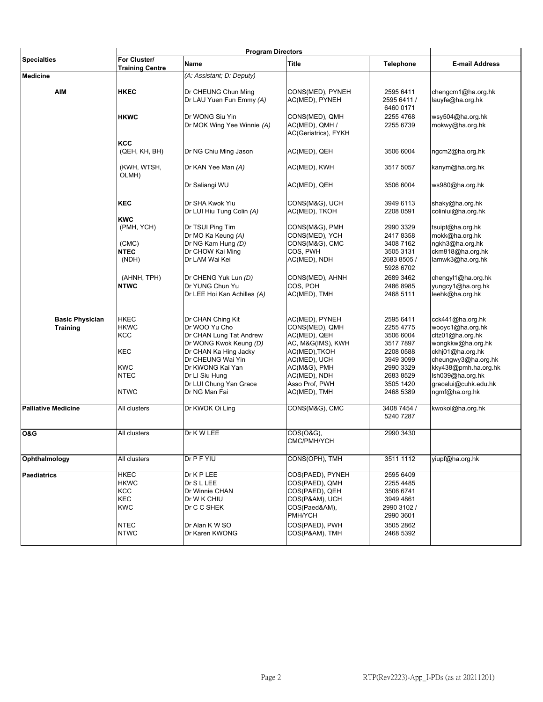|                            | <b>Program Directors</b>               |                                                 |                                                          |                                       |                                        |
|----------------------------|----------------------------------------|-------------------------------------------------|----------------------------------------------------------|---------------------------------------|----------------------------------------|
| <b>Specialties</b>         | For Cluster/<br><b>Training Centre</b> | Name                                            | <b>Title</b>                                             | <b>Telephone</b>                      | <b>E-mail Address</b>                  |
| <b>Medicine</b>            |                                        | (A: Assistant; D: Deputy)                       |                                                          |                                       |                                        |
| <b>AIM</b>                 | <b>HKEC</b>                            | Dr CHEUNG Chun Ming<br>Dr LAU Yuen Fun Emmy (A) | CONS(MED), PYNEH<br>AC(MED), PYNEH                       | 2595 6411<br>2595 6411 /<br>6460 0171 | chengcm1@ha.org.hk<br>lauyfe@ha.org.hk |
|                            | <b>HKWC</b>                            | Dr WONG Siu Yin<br>Dr MOK Wing Yee Winnie (A)   | CONS(MED), QMH<br>AC(MED), QMH /<br>AC(Geriatrics), FYKH | 2255 4768<br>2255 6739                | wsy504@ha.org.hk<br>mokwy@ha.org.hk    |
|                            | KCC<br>(QEH, KH, BH)                   | Dr NG Chiu Ming Jason                           | AC(MED), QEH                                             | 3506 6004                             | ngcm2@ha.org.hk                        |
|                            | (KWH, WTSH,<br>OLMH)                   | Dr KAN Yee Man (A)                              | AC(MED), KWH                                             | 3517 5057                             | kanym@ha.org.hk                        |
|                            |                                        | Dr Saliangi WU                                  | AC(MED), QEH                                             | 3506 6004                             | ws980@ha.org.hk                        |
|                            | <b>KEC</b>                             | Dr SHA Kwok Yiu                                 | CONS(M&G), UCH                                           | 3949 6113                             | shaky@ha.org.hk                        |
|                            |                                        | Dr LUI Hiu Tung Colin (A)                       | AC(MED), TKOH                                            | 2208 0591                             | colinlui@ha.org.hk                     |
|                            | <b>KWC</b>                             |                                                 |                                                          |                                       |                                        |
|                            | (PMH, YCH)                             | Dr TSUI Ping Tim                                | CONS(M&G), PMH                                           | 2990 3329                             | tsuipt@ha.org.hk                       |
|                            |                                        | Dr MO Ka Keung (A)                              | CONS(MED), YCH                                           | 24178358                              | mokk@ha.org.hk                         |
|                            | (CMC)                                  | Dr NG Kam Hung (D)                              | CONS(M&G), CMC                                           | 3408 7162                             | ngkh3@ha.org.hk                        |
|                            | <b>NTEC</b>                            | Dr CHOW Kai Ming                                | COS, PWH                                                 | 3505 3131                             | ckm818@ha.org.hk                       |
|                            | (NDH)                                  | Dr LAM Wai Kei                                  | AC(MED), NDH                                             | 2683 8505 /<br>5928 6702              | lamwk3@ha.org.hk                       |
|                            | (AHNH, TPH)                            | Dr CHENG Yuk Lun (D)                            | CONS(MED), AHNH                                          | 2689 3462                             | chengyl1@ha.org.hk                     |
|                            | <b>NTWC</b>                            | Dr YUNG Chun Yu<br>Dr LEE Hoi Kan Achilles (A)  | COS. POH<br>AC(MED), TMH                                 | 2486 8985<br>2468 5111                | yungcy1@ha.org.hk<br>leehk@ha.org.hk   |
| <b>Basic Physician</b>     | <b>HKEC</b>                            | Dr CHAN Ching Kit                               | AC(MED), PYNEH                                           | 2595 6411                             | cck441@ha.org.hk                       |
| <b>Training</b>            | <b>HKWC</b>                            | Dr WOO Yu Cho                                   | CONS(MED), QMH                                           | 2255 4775                             | wooyc1@ha.org.hk                       |
|                            | <b>KCC</b>                             | Dr CHAN Lung Tat Andrew                         | AC(MED), QEH                                             | 3506 6004                             | cltz01@ha.org.hk                       |
|                            |                                        | Dr WONG Kwok Keung (D)                          | AC, M&G(IMS), KWH                                        | 35177897                              | wongkkw@ha.org.hk                      |
|                            | KEC                                    | Dr CHAN Ka Hing Jacky                           | AC(MED), TKOH                                            | 2208 0588                             | ckhj01@ha.org.hk                       |
|                            |                                        | Dr CHEUNG Wai Yin                               | AC(MED), UCH                                             | 3949 3099                             | cheungwy3@ha.org.hk                    |
|                            | <b>KWC</b>                             | Dr KWONG Kai Yan                                | AC(M&G), PMH                                             | 2990 3329                             | kky438@pmh.ha.org.hk                   |
|                            | <b>NTEC</b>                            | Dr LI Siu Hung                                  | AC(MED), NDH                                             | 2683 8529                             | Ish039@ha.org.hk                       |
|                            | <b>NTWC</b>                            | Dr LUI Chung Yan Grace<br>Dr NG Man Fai         | Asso Prof, PWH<br>AC(MED), TMH                           | 3505 1420<br>2468 5389                | gracelui@cuhk.edu.hk<br>ngmf@ha.org.hk |
| <b>Palliative Medicine</b> | All clusters                           | Dr KWOK Oi Ling                                 | CONS(M&G), CMC                                           | 3408 7454 /<br>5240 7287              | kwokol@ha.org.hk                       |
| O&G                        | All clusters                           | Dr K W LEE                                      | COS(O&G),<br>CMC/PMH/YCH                                 | 2990 3430                             |                                        |
| Ophthalmology              | All clusters                           | Dr P F YIU                                      | CONS(OPH), TMH                                           | 3511 1112                             | yiupf@ha.org.hk                        |
| <b>Paediatrics</b>         | <b>HKEC</b>                            | Dr K P LEE                                      | COS(PAED), PYNEH                                         | 2595 6409                             |                                        |
|                            | <b>HKWC</b>                            | Dr S L LEE                                      | COS(PAED), QMH                                           | 2255 4485                             |                                        |
|                            | <b>KCC</b>                             | Dr Winnie CHAN                                  | COS(PAED), QEH                                           | 3506 6741                             |                                        |
|                            | KEC                                    | Dr W K CHIU                                     | COS(P&AM), UCH                                           | 3949 4861                             |                                        |
|                            | <b>KWC</b>                             | Dr C C SHEK                                     | COS(Paed&AM),                                            | 2990 3102 /                           |                                        |
|                            |                                        |                                                 | PMH/YCH                                                  | 2990 3601                             |                                        |
|                            | <b>NTEC</b>                            | Dr Alan K W SO                                  | COS(PAED), PWH                                           | 3505 2862                             |                                        |
|                            | <b>NTWC</b>                            | Dr Karen KWONG                                  | COS(P&AM), TMH                                           | 2468 5392                             |                                        |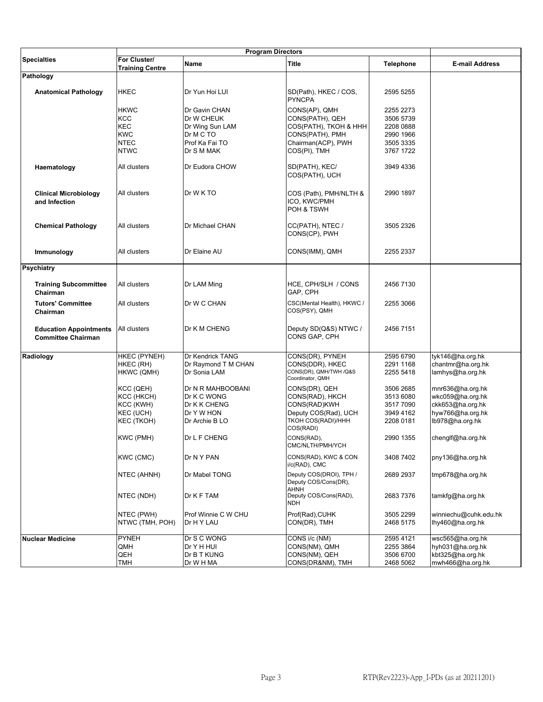|                               | <b>Program Directors</b> |                     |                                            |                  |                       |
|-------------------------------|--------------------------|---------------------|--------------------------------------------|------------------|-----------------------|
| <b>Specialties</b>            | For Cluster/             | Name                | Title                                      | <b>Telephone</b> | <b>E-mail Address</b> |
|                               | <b>Training Centre</b>   |                     |                                            |                  |                       |
| Pathology                     |                          |                     |                                            |                  |                       |
|                               |                          |                     |                                            |                  |                       |
| <b>Anatomical Pathology</b>   | <b>HKEC</b>              | Dr Yun Hoi LUI      | SD(Path), HKEC / COS,<br><b>PYNCPA</b>     | 2595 5255        |                       |
|                               | <b>HKWC</b>              | Dr Gavin CHAN       | CONS(AP), QMH                              | 2255 2273        |                       |
|                               | KCC                      | Dr W CHEUK          | CONS(PATH), QEH                            | 3506 5739        |                       |
|                               | KEC                      | Dr Wing Sun LAM     | COS(PATH), TKOH & HHH                      | 2208 0888        |                       |
|                               | <b>KWC</b>               | Dr M C TO           | CONS(PATH), PMH                            | 2990 1966        |                       |
|                               | <b>NTEC</b>              | Prof Ka Fai TO      | Chairman(ACP), PWH                         | 3505 3335        |                       |
|                               | <b>NTWC</b>              |                     | COS(PI), TMH                               |                  |                       |
|                               |                          | Dr S M MAK          |                                            | 3767 1722        |                       |
| Haematology                   | All clusters             | Dr Eudora CHOW      | SD(PATH), KEC/<br>COS(PATH), UCH           | 3949 4336        |                       |
| <b>Clinical Microbiology</b>  | All clusters             | Dr W K TO           | COS (Path), PMH/NLTH &                     | 2990 1897        |                       |
| and Infection                 |                          |                     | ICO, KWC/PMH<br>POH & TSWH                 |                  |                       |
|                               |                          |                     |                                            |                  |                       |
| <b>Chemical Pathology</b>     | All clusters             | Dr Michael CHAN     | CC(PATH), NTEC /                           | 3505 2326        |                       |
|                               |                          |                     | CONS(CP), PWH                              |                  |                       |
|                               |                          |                     |                                            |                  |                       |
| Immunology                    | All clusters             | Dr Elaine AU        | CONS(IMM), QMH                             | 2255 2337        |                       |
|                               |                          |                     |                                            |                  |                       |
| <b>Psychiatry</b>             |                          |                     |                                            |                  |                       |
| <b>Training Subcommittee</b>  |                          |                     | HCE, CPH/SLH / CONS                        | 2456 7130        |                       |
| Chairman                      | All clusters             | Dr LAM Ming         | GAP, CPH                                   |                  |                       |
| <b>Tutors' Committee</b>      | All clusters             | Dr W C CHAN         | CSC(Mental Health), HKWC /                 | 2255 3066        |                       |
| Chairman                      |                          |                     | COS(PSY), QMH                              |                  |                       |
|                               |                          |                     |                                            |                  |                       |
| <b>Education Appointments</b> | All clusters             | Dr K M CHENG        | Deputy SD(Q&S) NTWC /                      | 2456 7151        |                       |
| <b>Committee Chairman</b>     |                          |                     | CONS GAP, CPH                              |                  |                       |
|                               |                          |                     |                                            |                  |                       |
|                               | HKEC (PYNEH)             | Dr Kendrick TANG    |                                            | 2595 6790        | tyk146@ha.org.hk      |
| Radiology                     |                          |                     | CONS(DR), PYNEH                            |                  |                       |
|                               | HKEC (RH)                | Dr Raymond T M CHAN | CONS(DDR), HKEC                            | 2291 1168        | chantmr@ha.org.hk     |
|                               | HKWC (QMH)               | Dr Sonia LAM        | CONS(DR), QMH/TWH /Q&S<br>Coordinator, QMH | 2255 5418        | lamhys@ha.org.hk      |
|                               |                          |                     |                                            |                  |                       |
|                               | KCC (QEH)                | Dr N R MAHBOOBANI   | CONS(DR), QEH                              | 3506 2685        | mnr636@ha.org.hk      |
|                               | KCC (HKCH)               | Dr K C WONG         | CONS(RAD), HKCH                            | 3513 6080        | wkc059@ha.org.hk      |
|                               | KCC (KWH)                | Dr K K CHENG        | CONS(RAD)KWH                               | 3517 7090        | ckk653@ha.org.hk      |
|                               | KEC (UCH)                | Dr Y W HON          | Deputy COS(Rad), UCH                       | 3949 4162        | hyw766@ha.org.hk      |
|                               | KEC (TKOH)               | Dr Archie B LO      | TKOH COS(RADI)/HHH<br>COS(RADI)            | 2208 0181        | lb978@ha.org.hk       |
|                               |                          |                     | CONS(RAD),                                 |                  |                       |
|                               | KWC (PMH)                | Dr L F CHENG        | CMC/NLTH/PMH/YCH                           | 2990 1355        | chenglf@ha.org.hk     |
|                               | KWC (CMC)                | Dr N Y PAN          | CONS(RAD), KWC & CON                       | 3408 7402        | pny136@ha.org.hk      |
|                               |                          |                     | i/c(RAD), CMC                              |                  |                       |
|                               | NTEC (AHNH)              | Dr Mabel TONG       | Deputy COS(DROI), TPH /                    | 2689 2937        | tmp678@ha.org.hk      |
|                               |                          |                     | Deputy COS/Cons(DR),                       |                  |                       |
|                               |                          |                     | AHNH                                       |                  |                       |
|                               | NTEC (NDH)               | Dr K F TAM          | Deputy COS/Cons(RAD),                      | 26837376         | tamkfg@ha.org.hk      |
|                               |                          |                     | <b>NDH</b>                                 |                  |                       |
|                               | NTEC (PWH)               | Prof Winnie C W CHU | Prof(Rad), CUHK                            | 3505 2299        | winniechu@cuhk.edu.hk |
|                               | NTWC (TMH, POH)          | Dr H Y LAU          | CON(DR), TMH                               | 2468 5175        | lhy460@ha.org.hk      |
|                               |                          |                     |                                            |                  |                       |
| <b>Nuclear Medicine</b>       | <b>PYNEH</b>             | Dr S C WONG         | CONS i/c (NM)                              | 2595 4121        | wsc565@ha.org.hk      |
|                               | QMH                      | Dr Y H HUI          | CONS(NM), QMH                              | 2255 3864        | hyh031@ha.org.hk      |
|                               | QEH                      | Dr B T KUNG         | CONS(NM), QEH                              | 3506 6700        | kbt325@ha.org.hk      |
|                               |                          |                     |                                            |                  |                       |
|                               | TMH                      | Dr W H MA           | CONS(DR&NM), TMH                           | 2468 5062        | mwh466@ha.org.hk      |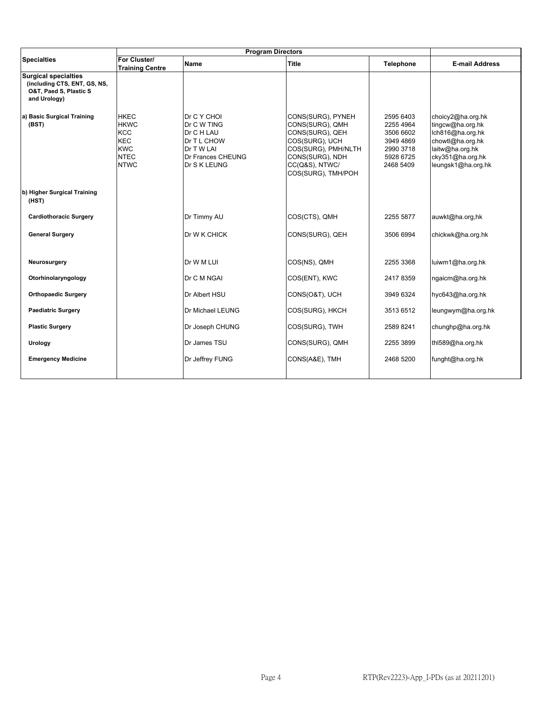|                                                                                                       | <b>Program Directors</b>                                                                           |                                                                                                                   |                                                                                                                                                             |                                                                                         |                                                                                                                                            |
|-------------------------------------------------------------------------------------------------------|----------------------------------------------------------------------------------------------------|-------------------------------------------------------------------------------------------------------------------|-------------------------------------------------------------------------------------------------------------------------------------------------------------|-----------------------------------------------------------------------------------------|--------------------------------------------------------------------------------------------------------------------------------------------|
| <b>Specialties</b>                                                                                    | For Cluster/<br><b>Training Centre</b>                                                             | <b>Name</b>                                                                                                       | Title                                                                                                                                                       | <b>Telephone</b>                                                                        | <b>E-mail Address</b>                                                                                                                      |
| <b>Surgical specialties</b><br>(including CTS, ENT, GS, NS,<br>O&T, Paed S, Plastic S<br>and Urology) |                                                                                                    |                                                                                                                   |                                                                                                                                                             |                                                                                         |                                                                                                                                            |
| a) Basic Surgical Training<br>(BST)                                                                   | <b>HKEC</b><br><b>HKWC</b><br><b>KCC</b><br><b>KEC</b><br><b>KWC</b><br><b>NTEC</b><br><b>NTWC</b> | Dr C Y CHOI<br>Dr C W TING<br>Dr C H LAU<br>Dr T L CHOW<br>Dr T W LAI<br><b>Dr Frances CHEUNG</b><br>Dr S K LEUNG | CONS(SURG), PYNEH<br>CONS(SURG), QMH<br>CONS(SURG), QEH<br>COS(SURG), UCH<br>COS(SURG), PMH/NLTH<br>CONS(SURG), NDH<br>CC(Q&S), NTWC/<br>COS(SURG), TMH/POH | 2595 6403<br>2255 4964<br>3506 6602<br>3949 4869<br>2990 3718<br>5928 6725<br>2468 5409 | choicy2@ha.org.hk<br>tingcw@ha.org.hk<br>Ich816@ha.org.hk<br>chowtl@ha.org.hk<br>laitw@ha.org.hk<br>cky351@ha.org.hk<br>leungsk1@ha.org.hk |
| b) Higher Surgical Training<br>(HST)                                                                  |                                                                                                    |                                                                                                                   |                                                                                                                                                             |                                                                                         |                                                                                                                                            |
| <b>Cardiothoracic Surgery</b>                                                                         |                                                                                                    | Dr Timmy AU                                                                                                       | COS(CTS), QMH                                                                                                                                               | 2255 5877                                                                               | auwkt@ha.org,hk                                                                                                                            |
| <b>General Surgery</b>                                                                                |                                                                                                    | Dr W K CHICK                                                                                                      | CONS(SURG), QEH                                                                                                                                             | 3506 6994                                                                               | chickwk@ha.org.hk                                                                                                                          |
| Neurosurgery                                                                                          |                                                                                                    | Dr W M LUI                                                                                                        | COS(NS), QMH                                                                                                                                                | 2255 3368                                                                               | luiwm1@ha.org.hk                                                                                                                           |
| Otorhinolaryngology                                                                                   |                                                                                                    | Dr C M NGAI                                                                                                       | COS(ENT), KWC                                                                                                                                               | 24178359                                                                                | ngaicm@ha.org.hk                                                                                                                           |
| <b>Orthopaedic Surgery</b>                                                                            |                                                                                                    | Dr Albert HSU                                                                                                     | CONS(O&T), UCH                                                                                                                                              | 3949 6324                                                                               | hyc643@ha.org.hk                                                                                                                           |
| <b>Paediatric Surgery</b>                                                                             |                                                                                                    | Dr Michael LEUNG                                                                                                  | COS(SURG), HKCH                                                                                                                                             | 3513 6512                                                                               | leungwym@ha.org.hk                                                                                                                         |
| <b>Plastic Surgery</b>                                                                                |                                                                                                    | Dr Joseph CHUNG                                                                                                   | COS(SURG), TWH                                                                                                                                              | 2589 8241                                                                               | chunghp@ha.org.hk                                                                                                                          |
| Urology                                                                                               |                                                                                                    | Dr James TSU                                                                                                      | CONS(SURG), QMH                                                                                                                                             | 2255 3899                                                                               | thl589@ha.org.hk                                                                                                                           |
| <b>Emergency Medicine</b>                                                                             |                                                                                                    | Dr Jeffrey FUNG                                                                                                   | CONS(A&E), TMH                                                                                                                                              | 2468 5200                                                                               | funght@ha.org.hk                                                                                                                           |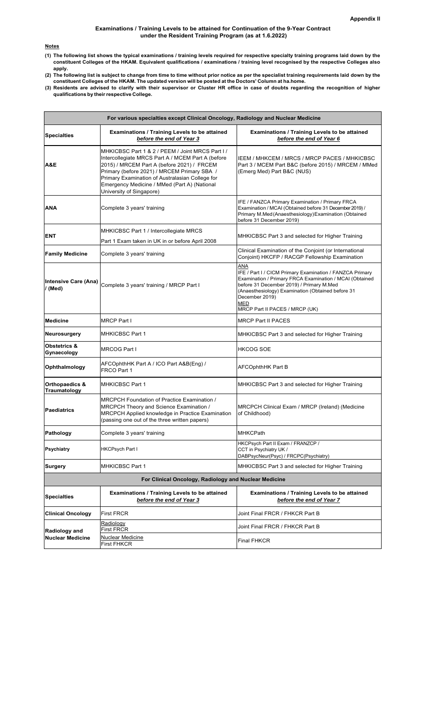#### **Examinations / Training Levels to be attained for Continuation of the 9-Year Contract under the Resident Training Program (as at 1.6.2022)**

#### **Notes**

- **(1) The following list shows the typical examinations / training levels required for respective specialty training programs laid down by the constituent Colleges of the HKAM. Equivalent qualifications / examinations / training level recognised by the respective Colleges also apply.**
- **(2) The following list is subject to change from time to time without prior notice as per the specialist training requirements laid down by the constituent Colleges of the HKAM. The updated version will be posted at the Doctors' Column at ha.home.**
- **(3) Residents are advised to clarify with their supervisor or Cluster HR office in case of doubts regarding the recognition of higher qualifications by their respective College.**

|                                                                                                                                                                                                                                                                                                                                          | For various specialties except Clinical Oncology, Radiology and Nuclear Medicine                                                                                                            |                                                                                                                                                                                                                                                                                               |  |  |  |  |
|------------------------------------------------------------------------------------------------------------------------------------------------------------------------------------------------------------------------------------------------------------------------------------------------------------------------------------------|---------------------------------------------------------------------------------------------------------------------------------------------------------------------------------------------|-----------------------------------------------------------------------------------------------------------------------------------------------------------------------------------------------------------------------------------------------------------------------------------------------|--|--|--|--|
| <b>Specialties</b>                                                                                                                                                                                                                                                                                                                       | Examinations / Training Levels to be attained<br>before the end of Year 3                                                                                                                   | Examinations / Training Levels to be attained<br>before the end of Year 6                                                                                                                                                                                                                     |  |  |  |  |
| MHKICBSC Part 1 & 2 / PEEM / Joint MRCS Part I /<br>Intercollegiate MRCS Part A / MCEM Part A (before<br>2015) / MRCEM Part A (before 2021) / FRCEM<br>A&E<br>Primary (before 2021) / MRCEM Primary SBA /<br>Primary Examination of Australasian College for<br>Emergency Medicine / MMed (Part A) (National<br>University of Singapore) |                                                                                                                                                                                             | IEEM / MHKCEM / MRCS / MRCP PACES / MHKICBSC<br>Part 3 / MCEM Part B&C (before 2015) / MRCEM / MMed<br>(Emerg Med) Part B&C (NUS)                                                                                                                                                             |  |  |  |  |
| ANA                                                                                                                                                                                                                                                                                                                                      | Complete 3 years' training                                                                                                                                                                  | IFE / FANZCA Primary Examination / Primary FRCA<br>Examination / MCAI (Obtained before 31 December 2019) /<br>Primary M.Med (Anaesthesiology) Examination (Obtained<br>before 31 December 2019)                                                                                               |  |  |  |  |
| <b>ENT</b>                                                                                                                                                                                                                                                                                                                               | MHKICBSC Part 1 / Intercollegiate MRCS<br>Part 1 Exam taken in UK in or before April 2008                                                                                                   | MHKICBSC Part 3 and selected for Higher Training                                                                                                                                                                                                                                              |  |  |  |  |
| <b>Family Medicine</b>                                                                                                                                                                                                                                                                                                                   | Complete 3 years' training                                                                                                                                                                  | Clinical Examination of the Conjoint (or International<br>Conjoint) HKCFP / RACGP Fellowship Examination                                                                                                                                                                                      |  |  |  |  |
| <b>Intensive Care (Ana)</b><br>/(Med)                                                                                                                                                                                                                                                                                                    | Complete 3 years' training / MRCP Part I                                                                                                                                                    | ANA<br>IFE / Part I / CICM Primary Examination / FANZCA Primary<br>Examination / Primary FRCA Examination / MCAI (Obtained<br>before 31 December 2019) / Primary M.Med<br>(Anaesthesiology) Examination (Obtained before 31<br>December 2019)<br><b>MED</b><br>MRCP Part II PACES / MRCP (UK) |  |  |  |  |
| <b>Medicine</b>                                                                                                                                                                                                                                                                                                                          | <b>MRCP Part I</b>                                                                                                                                                                          | <b>MRCP Part II PACES</b>                                                                                                                                                                                                                                                                     |  |  |  |  |
| Neurosurgery                                                                                                                                                                                                                                                                                                                             | <b>MHKICBSC Part 1</b>                                                                                                                                                                      | MHKICBSC Part 3 and selected for Higher Training                                                                                                                                                                                                                                              |  |  |  |  |
| Obstetrics &<br>Gynaecology                                                                                                                                                                                                                                                                                                              | <b>MRCOG Part I</b>                                                                                                                                                                         | <b>HKCOG SOE</b>                                                                                                                                                                                                                                                                              |  |  |  |  |
| Ophthalmology                                                                                                                                                                                                                                                                                                                            | AFCOphthHK Part A / ICO Part A&B(Eng) /<br>FRCO Part 1                                                                                                                                      | <b>AFCOphthHK Part B</b>                                                                                                                                                                                                                                                                      |  |  |  |  |
| Orthopaedics &<br>Traumatology                                                                                                                                                                                                                                                                                                           | <b>MHKICBSC Part 1</b>                                                                                                                                                                      | MHKICBSC Part 3 and selected for Higher Training                                                                                                                                                                                                                                              |  |  |  |  |
| <b>Paediatrics</b>                                                                                                                                                                                                                                                                                                                       | MRCPCH Foundation of Practice Examination /<br>MRCPCH Theory and Science Examination /<br>MRCPCH Applied knowledge in Practice Examination<br>(passing one out of the three written papers) | MRCPCH Clinical Exam / MRCP (Ireland) (Medicine<br>of Childhood)                                                                                                                                                                                                                              |  |  |  |  |
| Pathology                                                                                                                                                                                                                                                                                                                                | Complete 3 years' training                                                                                                                                                                  | <b>MHKCPath</b>                                                                                                                                                                                                                                                                               |  |  |  |  |
| <b>Psychiatry</b>                                                                                                                                                                                                                                                                                                                        | <b>HKCPsych Part I</b>                                                                                                                                                                      | HKCPsych Part II Exam / FRANZCP /<br>CCT in Psychiatry UK /<br>DABPsycNeur(Psyc) / FRCPC(Psychiatry)                                                                                                                                                                                          |  |  |  |  |
| <b>Surgery</b>                                                                                                                                                                                                                                                                                                                           | <b>MHKICBSC Part 1</b>                                                                                                                                                                      | MHKICBSC Part 3 and selected for Higher Training                                                                                                                                                                                                                                              |  |  |  |  |
|                                                                                                                                                                                                                                                                                                                                          | For Clinical Oncology, Radiology and Nuclear Medicine                                                                                                                                       |                                                                                                                                                                                                                                                                                               |  |  |  |  |
| <b>Specialties</b>                                                                                                                                                                                                                                                                                                                       | Examinations / Training Levels to be attained<br>before the end of Year 3                                                                                                                   | <b>Examinations / Training Levels to be attained</b><br>before the end of Year 7                                                                                                                                                                                                              |  |  |  |  |
| <b>Clinical Oncology</b>                                                                                                                                                                                                                                                                                                                 | <b>First FRCR</b>                                                                                                                                                                           | Joint Final FRCR / FHKCR Part B                                                                                                                                                                                                                                                               |  |  |  |  |
| <b>Radiology and</b>                                                                                                                                                                                                                                                                                                                     | Radiology<br><b>First FRCR</b>                                                                                                                                                              | Joint Final FRCR / FHKCR Part B                                                                                                                                                                                                                                                               |  |  |  |  |
| <b>Nuclear Medicine</b>                                                                                                                                                                                                                                                                                                                  | <u>Nuclear Medicine</u><br><b>First FHKCR</b>                                                                                                                                               | <b>Final FHKCR</b>                                                                                                                                                                                                                                                                            |  |  |  |  |